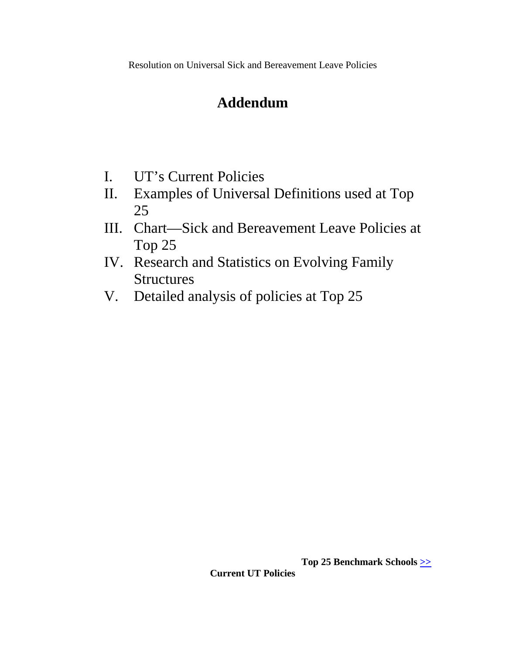Resolution on Universal Sick and Bereavement Leave Policies

# **Addendum**

- I. UT's Current Policies
- II. Examples of Universal Definitions used at Top 25
- III. Chart—Sick and Bereavement Leave Policies at Top 25
- IV. Research and Statistics on Evolving Family **Structures**
- V. Detailed analysis of policies at Top 25

**Top 25 Benchmark Schools [>>](http://www.utk.edu/volvision-top25/resources/Top25-BenchmarkSchools.pdf) Current UT Policies**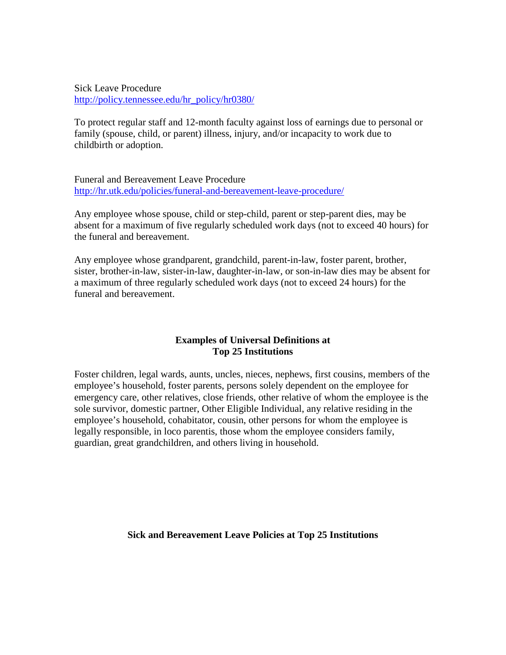Sick Leave Procedure [http://policy.tennessee.edu/hr\\_policy/hr0380/](http://policy.tennessee.edu/hr_policy/hr0380/)

To protect regular staff and 12-month faculty against loss of earnings due to personal or family (spouse, child, or parent) illness, injury, and/or incapacity to work due to childbirth or adoption.

Funeral and Bereavement Leave Procedure <http://hr.utk.edu/policies/funeral-and-bereavement-leave-procedure/>

Any employee whose spouse, child or step-child, parent or step-parent dies, may be absent for a maximum of five regularly scheduled work days (not to exceed 40 hours) for the funeral and bereavement.

Any employee whose grandparent, grandchild, parent-in-law, foster parent, brother, sister, brother-in-law, sister-in-law, daughter-in-law, or son-in-law dies may be absent for a maximum of three regularly scheduled work days (not to exceed 24 hours) for the funeral and bereavement.

#### **Examples of Universal Definitions at Top 25 Institutions**

Foster children, legal wards, aunts, uncles, nieces, nephews, first cousins, members of the employee's household, foster parents, persons solely dependent on the employee for emergency care, other relatives, close friends, other relative of whom the employee is the sole survivor, domestic partner, Other Eligible Individual, any relative residing in the employee's household, cohabitator, cousin, other persons for whom the employee is legally responsible, in loco parentis, those whom the employee considers family, guardian, great grandchildren, and others living in household.

**Sick and Bereavement Leave Policies at Top 25 Institutions**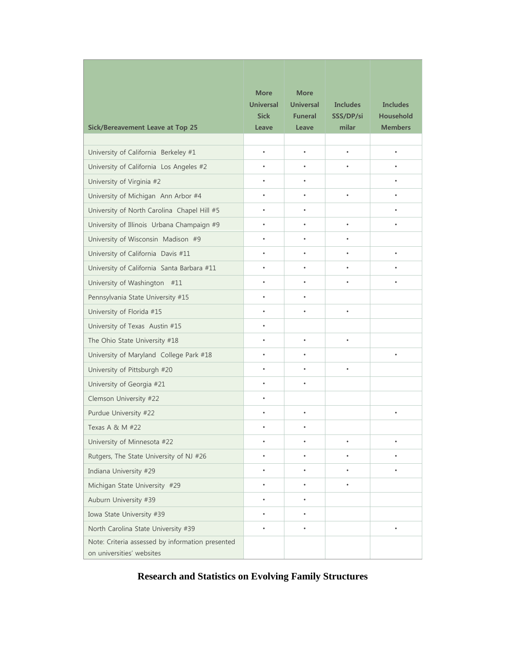| <b>Sick/Bereavement Leave at Top 25</b>                                       | <b>More</b><br><b>Universal</b><br><b>Sick</b><br>Leave | <b>More</b><br><b>Universal</b><br><b>Funeral</b><br>Leave | <b>Includes</b><br>SSS/DP/si<br>milar | <b>Includes</b><br><b>Household</b><br><b>Members</b> |
|-------------------------------------------------------------------------------|---------------------------------------------------------|------------------------------------------------------------|---------------------------------------|-------------------------------------------------------|
|                                                                               |                                                         |                                                            |                                       |                                                       |
| University of California Berkeley #1                                          | $\bullet$                                               | $\bullet$                                                  | $\bullet$                             | $\bullet$                                             |
| University of California Los Angeles #2                                       | ٠                                                       | $\bullet$                                                  | ٠                                     | ٠                                                     |
| University of Virginia #2                                                     | ٠                                                       | $\bullet$                                                  |                                       | ٠                                                     |
| University of Michigan Ann Arbor #4                                           | ٠                                                       | ٠                                                          | $\bullet$                             | ٠                                                     |
| University of North Carolina Chapel Hill #5                                   |                                                         |                                                            |                                       | $\bullet$                                             |
| University of Illinois Urbana Champaign #9                                    | ٠                                                       | ٠                                                          | $\bullet$                             | ٠                                                     |
| University of Wisconsin Madison #9                                            | ٠                                                       | ٠                                                          | $\bullet$                             |                                                       |
| University of California Davis #11                                            | ٠                                                       | $\bullet$                                                  | $\bullet$                             | ٠                                                     |
| University of California Santa Barbara #11                                    | ٠                                                       | ٠                                                          | $\bullet$                             | $\bullet$                                             |
| University of Washington #11                                                  |                                                         |                                                            |                                       |                                                       |
| Pennsylvania State University #15                                             |                                                         |                                                            |                                       |                                                       |
| University of Florida #15                                                     | ٠                                                       | ٠                                                          | $\bullet$                             |                                                       |
| University of Texas Austin #15                                                | $\bullet$                                               |                                                            |                                       |                                                       |
| The Ohio State University #18                                                 | ٠                                                       | $\bullet$                                                  | $\bullet$                             |                                                       |
| University of Maryland College Park #18                                       | ٠                                                       | $\bullet$                                                  |                                       | $\bullet$                                             |
| University of Pittsburgh #20                                                  | ٠                                                       | ٠                                                          | $\bullet$                             |                                                       |
| University of Georgia #21                                                     | ٠                                                       |                                                            |                                       |                                                       |
| Clemson University #22                                                        | ٠                                                       |                                                            |                                       |                                                       |
| Purdue University #22                                                         | ٠                                                       |                                                            |                                       | ٠                                                     |
| Texas A & M #22                                                               |                                                         | ٠                                                          |                                       |                                                       |
| University of Minnesota #22                                                   |                                                         |                                                            | ٠                                     |                                                       |
| Rutgers, The State University of NJ #26                                       |                                                         |                                                            |                                       |                                                       |
| Indiana University #29                                                        |                                                         |                                                            |                                       |                                                       |
| Michigan State University #29                                                 | ٠                                                       | ٠                                                          | $\bullet$                             |                                                       |
| Auburn University #39                                                         | ٠                                                       | $\bullet$                                                  |                                       |                                                       |
| Iowa State University #39                                                     | $\bullet$                                               | $\bullet$                                                  |                                       |                                                       |
| North Carolina State University #39                                           | ٠                                                       | ٠                                                          |                                       |                                                       |
| Note: Criteria assessed by information presented<br>on universities' websites |                                                         |                                                            |                                       |                                                       |

## **Research and Statistics on Evolving Family Structures**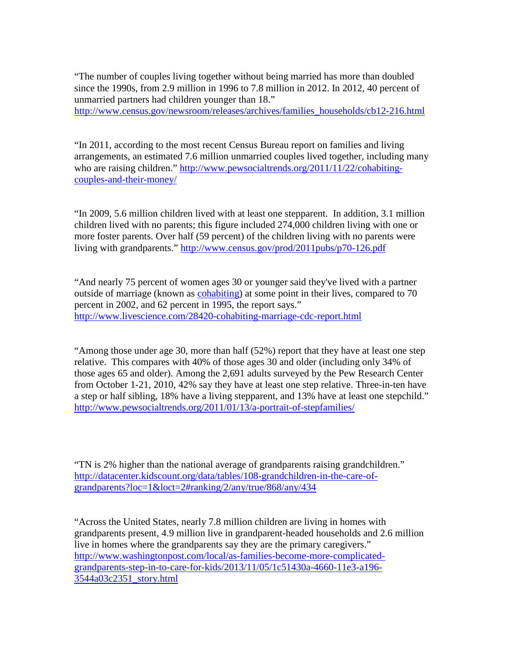"The number of couples living together without being married has more than doubled since the 1990s, from 2.9 million in 1996 to 7.8 million in 2012. In 2012, 40 percent of unmarried partners had children younger than 18."

[http://www.census.gov/newsroom/releases/archives/families\\_households/cb12-216.html](http://www.census.gov/newsroom/releases/archives/families_households/cb12-216.html)

"In 2011, according to the most recent Census Bureau report on families and living arrangements, an estimated 7.6 million unmarried couples lived together, including many who are raising children." [http://www.pewsocialtrends.org/2011/11/22/cohabiting](http://www.pewsocialtrends.org/2011/11/22/cohabiting-couples-and-their-money/)[couples-and-their-money/](http://www.pewsocialtrends.org/2011/11/22/cohabiting-couples-and-their-money/)

"In 2009, 5.6 million children lived with at least one stepparent. In addition, 3.1 million children lived with no parents; this figure included 274,000 children living with one or more foster parents. Over half (59 percent) of the children living with no parents were living with grandparents." <http://www.census.gov/prod/2011pubs/p70-126.pdf>

"And nearly 75 percent of women ages 30 or younger said they've lived with a partner outside of marriage (known as [cohabiting\)](http://www.livescience.com/18026-marriage-cohabitation-benefits.html) at some point in their lives, compared to 70 percent in 2002, and 62 percent in 1995, the report says." <http://www.livescience.com/28420-cohabiting-marriage-cdc-report.html>

"Among those under age 30, more than half (52%) report that they have at least one step relative. This compares with 40% of those ages 30 and older (including only 34% of those ages 65 and older). Among the 2,691 adults surveyed by the Pew Research Center from October 1-21, 2010, 42% say they have at least one step relative. Three-in-ten have a step or half sibling, 18% have a living stepparent, and 13% have at least one stepchild." <http://www.pewsocialtrends.org/2011/01/13/a-portrait-of-stepfamilies/>

"TN is 2% higher than the national average of grandparents raising grandchildren." [http://datacenter.kidscount.org/data/tables/108-grandchildren-in-the-care-of](http://datacenter.kidscount.org/data/tables/108-grandchildren-in-the-care-of-grandparents?loc=1&loct=2%23ranking/2/any/true/868/any/434)[grandparents?loc=1&loct=2#ranking/2/any/true/868/any/434](http://datacenter.kidscount.org/data/tables/108-grandchildren-in-the-care-of-grandparents?loc=1&loct=2%23ranking/2/any/true/868/any/434)

"Across the United States, nearly 7.8 million children are living in homes with grandparents present, 4.9 million live in grandparent-headed households and 2.6 million live in homes where the grandparents say they are the primary caregivers." [http://www.washingtonpost.com/local/as-families-become-more-complicated](http://www.washingtonpost.com/local/as-families-become-more-complicated-grandparents-step-in-to-care-for-kids/2013/11/05/1c51430a-4660-11e3-a196-3544a03c2351_story.html)[grandparents-step-in-to-care-for-kids/2013/11/05/1c51430a-4660-11e3-a196-](http://www.washingtonpost.com/local/as-families-become-more-complicated-grandparents-step-in-to-care-for-kids/2013/11/05/1c51430a-4660-11e3-a196-3544a03c2351_story.html) [3544a03c2351\\_story.html](http://www.washingtonpost.com/local/as-families-become-more-complicated-grandparents-step-in-to-care-for-kids/2013/11/05/1c51430a-4660-11e3-a196-3544a03c2351_story.html)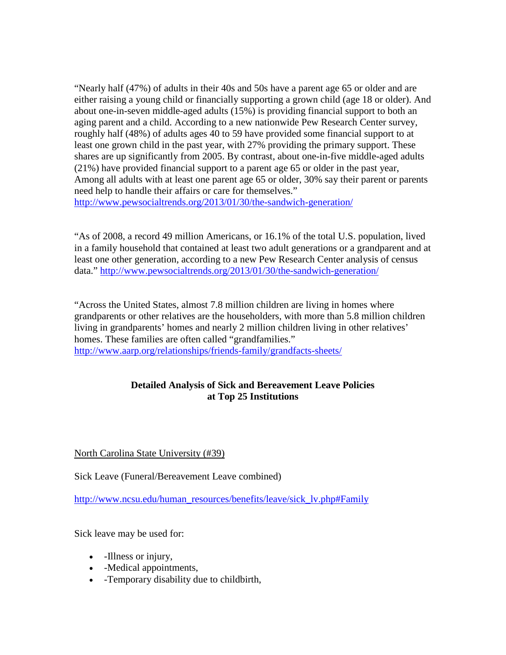"Nearly half (47%) of adults in their 40s and 50s have a parent age 65 or older and are either raising a young child or financially supporting a grown child (age 18 or older). And about one-in-seven middle-aged adults (15%) is providing financial support to both an aging parent and a child. According to a new nationwide Pew Research Center survey, roughly half (48%) of adults ages 40 to 59 have provided some financial support to at least one grown child in the past year, with 27% providing the primary support. These shares are up significantly from 2005. By contrast, about one-in-five middle-aged adults (21%) have provided financial support to a parent age 65 or older in the past year, Among all adults with at least one parent age 65 or older, 30% say their parent or parents need help to handle their affairs or care for themselves." <http://www.pewsocialtrends.org/2013/01/30/the-sandwich-generation/>

"As of 2008, a record 49 million Americans, or 16.1% of the total U.S. population, lived in a family household that contained at least two adult generations or a grandparent and at least one other generation, according to a new Pew Research Center analysis of census data." <http://www.pewsocialtrends.org/2013/01/30/the-sandwich-generation/>

"Across the United States, almost 7.8 million children are living in homes where grandparents or other relatives are the householders, with more than 5.8 million children living in grandparents' homes and nearly 2 million children living in other relatives' homes. These families are often called "grandfamilies." <http://www.aarp.org/relationships/friends-family/grandfacts-sheets/>

## **Detailed Analysis of Sick and Bereavement Leave Policies at Top 25 Institutions**

North Carolina State University (#39)

Sick Leave (Funeral/Bereavement Leave combined)

[http://www.ncsu.edu/human\\_resources/benefits/leave/sick\\_lv.php#Family](http://www.ncsu.edu/human_resources/benefits/leave/sick_lv.php%23Family)

Sick leave may be used for:

- -Illness or injury,
- -Medical appointments,
- -Temporary disability due to childbirth,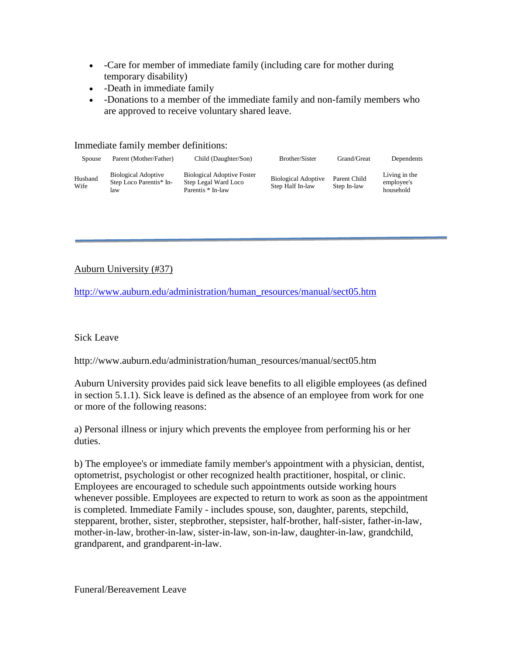- Care for member of immediate family (including care for mother during temporary disability)
- -Death in immediate family
- -Donations to a member of the immediate family and non-family members who are approved to receive voluntary shared leave.

Immediate family member definitions:

| Spouse          | Parent (Mother/Father)                                       | Child (Daughter/Son)                                                           | Brother/Sister                                 | Grand/Great                 | Dependents                               |
|-----------------|--------------------------------------------------------------|--------------------------------------------------------------------------------|------------------------------------------------|-----------------------------|------------------------------------------|
| Husband<br>Wife | <b>Biological Adoptive</b><br>Step Loco Parentis* In-<br>law | <b>Biological Adoptive Foster</b><br>Step Legal Ward Loco<br>Parentis * In-law | <b>Biological Adoptive</b><br>Step Half In-law | Parent Child<br>Step In-law | Living in the<br>employee's<br>household |

#### Auburn University (#37)

[http://www.auburn.edu/administration/human\\_resources/manual/sect05.htm](http://www.auburn.edu/administration/human_resources/manual/sect05.htm)

#### Sick Leave

http://www.auburn.edu/administration/human\_resources/manual/sect05.htm

Auburn University provides paid sick leave benefits to all eligible employees (as defined in section 5.1.1). Sick leave is defined as the absence of an employee from work for one or more of the following reasons:

a) Personal illness or injury which prevents the employee from performing his or her duties.

b) The employee's or immediate family member's appointment with a physician, dentist, optometrist, psychologist or other recognized health practitioner, hospital, or clinic. Employees are encouraged to schedule such appointments outside working hours whenever possible. Employees are expected to return to work as soon as the appointment is completed. Immediate Family - includes spouse, son, daughter, parents, stepchild, stepparent, brother, sister, stepbrother, stepsister, half-brother, half-sister, father-in-law, mother-in-law, brother-in-law, sister-in-law, son-in-law, daughter-in-law, grandchild, grandparent, and grandparent-in-law.

Funeral/Bereavement Leave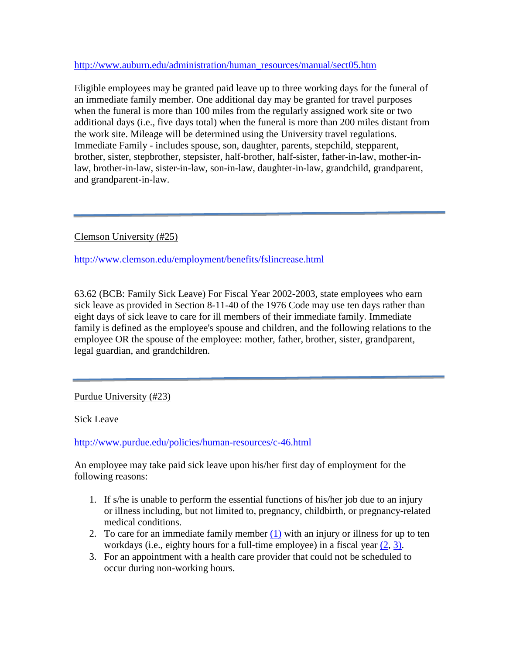[http://www.auburn.edu/administration/human\\_resources/manual/sect05.htm](http://www.auburn.edu/administration/human_resources/manual/sect05.htm)

Eligible employees may be granted paid leave up to three working days for the funeral of an immediate family member. One additional day may be granted for travel purposes when the funeral is more than 100 miles from the regularly assigned work site or two additional days (i.e., five days total) when the funeral is more than 200 miles distant from the work site. Mileage will be determined using the University travel regulations. Immediate Family - includes spouse, son, daughter, parents, stepchild, stepparent, brother, sister, stepbrother, stepsister, half-brother, half-sister, father-in-law, mother-inlaw, brother-in-law, sister-in-law, son-in-law, daughter-in-law, grandchild, grandparent, and grandparent-in-law.

Clemson University (#25)

<http://www.clemson.edu/employment/benefits/fslincrease.html>

63.62 (BCB: Family Sick Leave) For Fiscal Year 2002-2003, state employees who earn sick leave as provided in Section 8-11-40 of the 1976 Code may use ten days rather than eight days of sick leave to care for ill members of their immediate family. Immediate family is defined as the employee's spouse and children, and the following relations to the employee OR the spouse of the employee: mother, father, brother, sister, grandparent, legal guardian, and grandchildren.

Purdue University (#23)

Sick Leave

<http://www.purdue.edu/policies/human-resources/c-46.html>

An employee may take paid sick leave upon his/her first day of employment for the following reasons:

- 1. If s/he is unable to perform the essential functions of his/her job due to an injury or illness including, but not limited to, pregnancy, childbirth, or pregnancy-related medical conditions.
- 2. To care for an immediate family member [\(1\)](http://www.purdue.edu/policies/human-resources/c-46.html%23foot1) with an injury or illness for up to ten workdays (i.e., eighty hours for a full-time employee) in a fiscal year [\(2,](http://www.purdue.edu/policies/human-resources/c-46.html%23foot2) [3\).](http://www.purdue.edu/policies/human-resources/c-46.html%23foot3)
- 3. For an appointment with a health care provider that could not be scheduled to occur during non-working hours.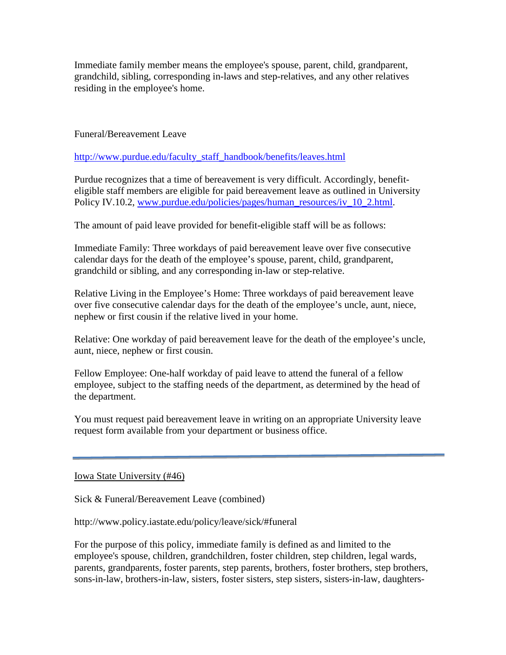Immediate family member means the employee's spouse, parent, child, grandparent, grandchild, sibling, corresponding in-laws and step-relatives, and any other relatives residing in the employee's home.

Funeral/Bereavement Leave

[http://www.purdue.edu/faculty\\_staff\\_handbook/benefits/leaves.html](http://www.purdue.edu/faculty_staff_handbook/benefits/leaves.html)

Purdue recognizes that a time of bereavement is very difficult. Accordingly, benefiteligible staff members are eligible for paid bereavement leave as outlined in University Policy IV.10.2, [www.purdue.edu/policies/pages/human\\_resources/iv\\_10\\_2.html.](http://www.purdue.edu/policies/pages/human_resources/iv_10_2.html)

The amount of paid leave provided for benefit-eligible staff will be as follows:

Immediate Family: Three workdays of paid bereavement leave over five consecutive calendar days for the death of the employee's spouse, parent, child, grandparent, grandchild or sibling, and any corresponding in-law or step-relative.

Relative Living in the Employee's Home: Three workdays of paid bereavement leave over five consecutive calendar days for the death of the employee's uncle, aunt, niece, nephew or first cousin if the relative lived in your home.

Relative: One workday of paid bereavement leave for the death of the employee's uncle, aunt, niece, nephew or first cousin.

Fellow Employee: One-half workday of paid leave to attend the funeral of a fellow employee, subject to the staffing needs of the department, as determined by the head of the department.

You must request paid bereavement leave in writing on an appropriate University leave request form available from your department or business office.

Iowa State University (#46)

Sick & Funeral/Bereavement Leave (combined)

http://www.policy.iastate.edu/policy/leave/sick/#funeral

For the purpose of this policy, immediate family is defined as and limited to the employee's spouse, children, grandchildren, foster children, step children, legal wards, parents, grandparents, foster parents, step parents, brothers, foster brothers, step brothers, sons-in-law, brothers-in-law, sisters, foster sisters, step sisters, sisters-in-law, daughters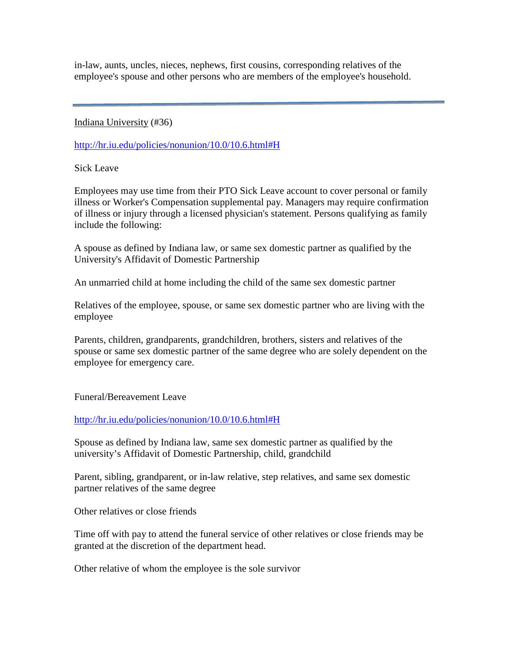in-law, aunts, uncles, nieces, nephews, first cousins, corresponding relatives of the employee's spouse and other persons who are members of the employee's household.

Indiana University (#36)

[http://hr.iu.edu/policies/nonunion/10.0/10.6.html#H](http://hr.iu.edu/policies/nonunion/10.0/10.6.html%23H)

Sick Leave

Employees may use time from their PTO Sick Leave account to cover personal or family illness or Worker's Compensation supplemental pay. Managers may require confirmation of illness or injury through a licensed physician's statement. Persons qualifying as family include the following:

A spouse as defined by Indiana law, or same sex domestic partner as qualified by the University's Affidavit of Domestic Partnership

An unmarried child at home including the child of the same sex domestic partner

Relatives of the employee, spouse, or same sex domestic partner who are living with the employee

Parents, children, grandparents, grandchildren, brothers, sisters and relatives of the spouse or same sex domestic partner of the same degree who are solely dependent on the employee for emergency care.

Funeral/Bereavement Leave

[http://hr.iu.edu/policies/nonunion/10.0/10.6.html#H](http://hr.iu.edu/policies/nonunion/10.0/10.6.html%23H)

Spouse as defined by Indiana law, same sex domestic partner as qualified by the university's Affidavit of Domestic Partnership, child, grandchild

Parent, sibling, grandparent, or in-law relative, step relatives, and same sex domestic partner relatives of the same degree

Other relatives or close friends

Time off with pay to attend the funeral service of other relatives or close friends may be granted at the discretion of the department head.

Other relative of whom the employee is the sole survivor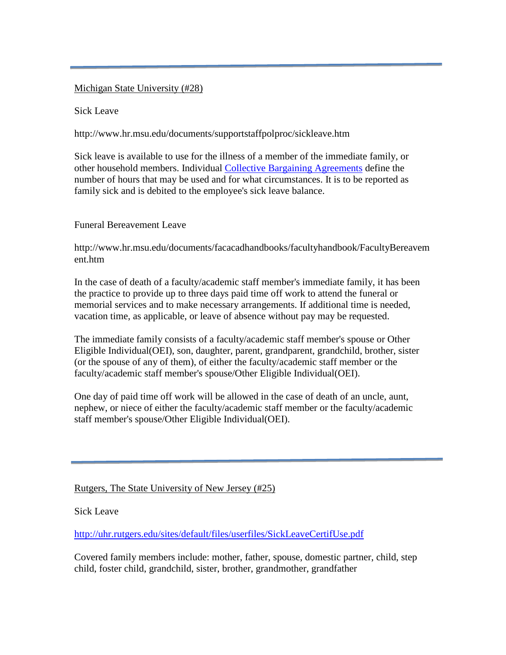#### Michigan State University (#28)

Sick Leave

http://www.hr.msu.edu/documents/supportstaffpolproc/sickleave.htm

Sick leave is available to use for the illness of a member of the immediate family, or other household members. Individual [Collective Bargaining Agreements](http://www.hr.msu.edu/documents/contracts.htm) define the number of hours that may be used and for what circumstances. It is to be reported as family sick and is debited to the employee's sick leave balance.

Funeral Bereavement Leave

http://www.hr.msu.edu/documents/facacadhandbooks/facultyhandbook/FacultyBereavem ent.htm

In the case of death of a faculty/academic staff member's immediate family, it has been the practice to provide up to three days paid time off work to attend the funeral or memorial services and to make necessary arrangements. If additional time is needed, vacation time, as applicable, or leave of absence without pay may be requested.

The immediate family consists of a faculty/academic staff member's spouse or Other Eligible Individual(OEI), son, daughter, parent, grandparent, grandchild, brother, sister (or the spouse of any of them), of either the faculty/academic staff member or the faculty/academic staff member's spouse/Other Eligible Individual(OEI).

One day of paid time off work will be allowed in the case of death of an uncle, aunt, nephew, or niece of either the faculty/academic staff member or the faculty/academic staff member's spouse/Other Eligible Individual(OEI).

Rutgers, The State University of New Jersey (#25)

Sick Leave

<http://uhr.rutgers.edu/sites/default/files/userfiles/SickLeaveCertifUse.pdf>

Covered family members include: mother, father, spouse, domestic partner, child, step child, foster child, grandchild, sister, brother, grandmother, grandfather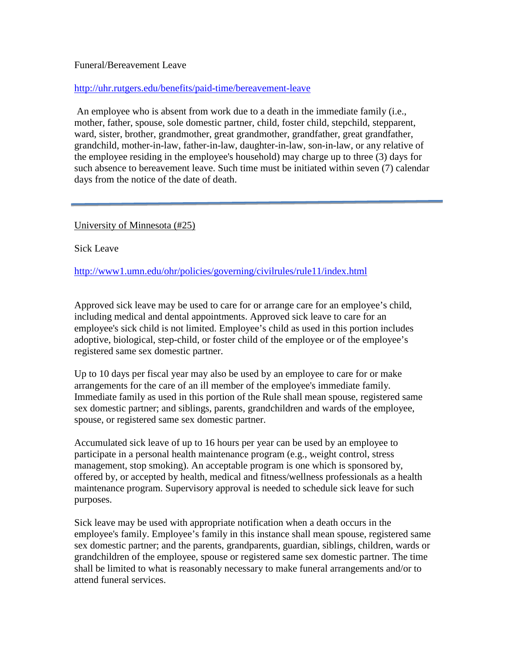#### Funeral/Bereavement Leave

#### <http://uhr.rutgers.edu/benefits/paid-time/bereavement-leave>

An employee who is absent from work due to a death in the immediate family (i.e., mother, father, spouse, sole domestic partner, child, foster child, stepchild, stepparent, ward, sister, brother, grandmother, great grandmother, grandfather, great grandfather, grandchild, mother-in-law, father-in-law, daughter-in-law, son-in-law, or any relative of the employee residing in the employee's household) may charge up to three (3) days for such absence to bereavement leave. Such time must be initiated within seven (7) calendar days from the notice of the date of death.

University of Minnesota (#25)

Sick Leave

<http://www1.umn.edu/ohr/policies/governing/civilrules/rule11/index.html>

Approved sick leave may be used to care for or arrange care for an employee's child, including medical and dental appointments. Approved sick leave to care for an employee's sick child is not limited. Employee's child as used in this portion includes adoptive, biological, step-child, or foster child of the employee or of the employee's registered same sex domestic partner.

Up to 10 days per fiscal year may also be used by an employee to care for or make arrangements for the care of an ill member of the employee's immediate family. Immediate family as used in this portion of the Rule shall mean spouse, registered same sex domestic partner; and siblings, parents, grandchildren and wards of the employee, spouse, or registered same sex domestic partner.

Accumulated sick leave of up to 16 hours per year can be used by an employee to participate in a personal health maintenance program (e.g., weight control, stress management, stop smoking). An acceptable program is one which is sponsored by, offered by, or accepted by health, medical and fitness/wellness professionals as a health maintenance program. Supervisory approval is needed to schedule sick leave for such purposes.

Sick leave may be used with appropriate notification when a death occurs in the employee's family. Employee's family in this instance shall mean spouse, registered same sex domestic partner; and the parents, grandparents, guardian, siblings, children, wards or grandchildren of the employee, spouse or registered same sex domestic partner. The time shall be limited to what is reasonably necessary to make funeral arrangements and/or to attend funeral services.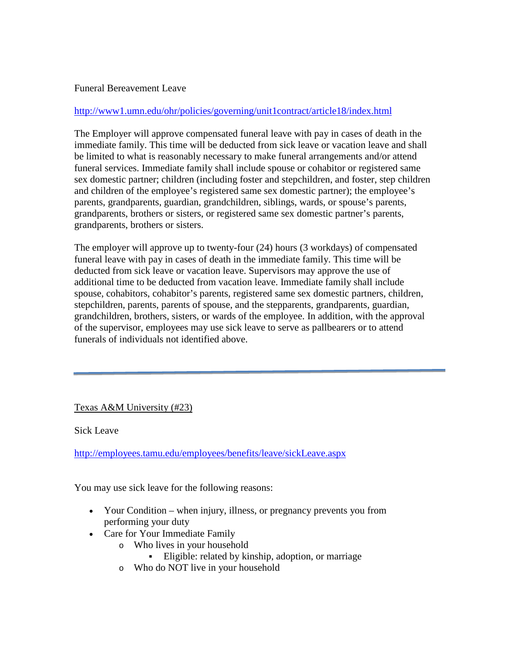#### Funeral Bereavement Leave

#### <http://www1.umn.edu/ohr/policies/governing/unit1contract/article18/index.html>

The Employer will approve compensated funeral leave with pay in cases of death in the immediate family. This time will be deducted from sick leave or vacation leave and shall be limited to what is reasonably necessary to make funeral arrangements and/or attend funeral services. Immediate family shall include spouse or cohabitor or registered same sex domestic partner; children (including foster and stepchildren, and foster, step children and children of the employee's registered same sex domestic partner); the employee's parents, grandparents, guardian, grandchildren, siblings, wards, or spouse's parents, grandparents, brothers or sisters, or registered same sex domestic partner's parents, grandparents, brothers or sisters.

The employer will approve up to twenty-four (24) hours (3 workdays) of compensated funeral leave with pay in cases of death in the immediate family. This time will be deducted from sick leave or vacation leave. Supervisors may approve the use of additional time to be deducted from vacation leave. Immediate family shall include spouse, cohabitors, cohabitor's parents, registered same sex domestic partners, children, stepchildren, parents, parents of spouse, and the stepparents, grandparents, guardian, grandchildren, brothers, sisters, or wards of the employee. In addition, with the approval of the supervisor, employees may use sick leave to serve as pallbearers or to attend funerals of individuals not identified above.

## Texas A&M University (#23)

Sick Leave

<http://employees.tamu.edu/employees/benefits/leave/sickLeave.aspx>

You may use sick leave for the following reasons:

- Your Condition when injury, illness, or pregnancy prevents you from performing your duty
- Care for Your Immediate Family
	- o Who lives in your household
		- Eligible: related by kinship, adoption, or marriage
	- o Who do NOT live in your household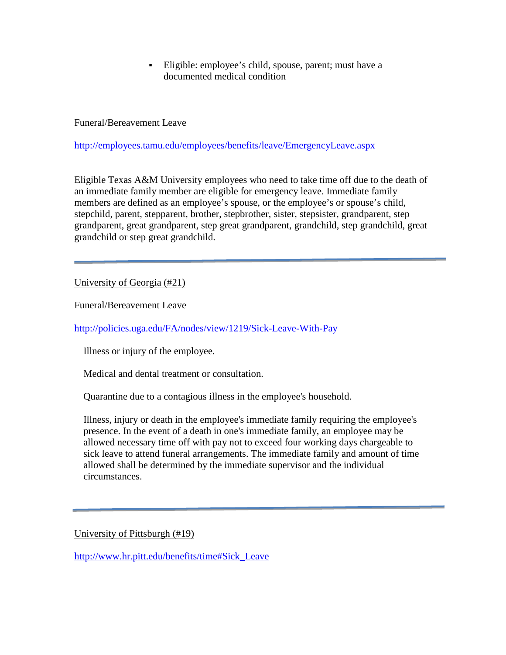Eligible: employee's child, spouse, parent; must have a documented medical condition

Funeral/Bereavement Leave

<http://employees.tamu.edu/employees/benefits/leave/EmergencyLeave.aspx>

Eligible Texas A&M University employees who need to take time off due to the death of an immediate family member are eligible for emergency leave. Immediate family members are defined as an employee's spouse, or the employee's or spouse's child, stepchild, parent, stepparent, brother, stepbrother, sister, stepsister, grandparent, step grandparent, great grandparent, step great grandparent, grandchild, step grandchild, great grandchild or step great grandchild.

University of Georgia (#21)

Funeral/Bereavement Leave

<http://policies.uga.edu/FA/nodes/view/1219/Sick-Leave-With-Pay>

Illness or injury of the employee.

Medical and dental treatment or consultation.

Quarantine due to a contagious illness in the employee's household.

Illness, injury or death in the employee's immediate family requiring the employee's presence. In the event of a death in one's immediate family, an employee may be allowed necessary time off with pay not to exceed four working days chargeable to sick leave to attend funeral arrangements. The immediate family and amount of time allowed shall be determined by the immediate supervisor and the individual circumstances.

University of Pittsburgh (#19)

[http://www.hr.pitt.edu/benefits/time#Sick\\_Leave](http://www.hr.pitt.edu/benefits/time%23Sick_Leave)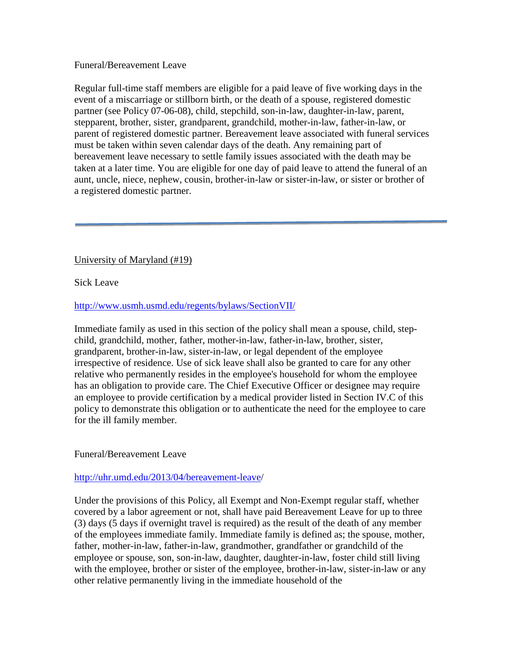#### Funeral/Bereavement Leave

Regular full-time staff members are eligible for a paid leave of five working days in the event of a miscarriage or stillborn birth, or the death of a spouse, registered domestic partner (see Policy 07-06-08), child, stepchild, son-in-law, daughter-in-law, parent, stepparent, brother, sister, grandparent, grandchild, mother-in-law, father-in-law, or parent of registered domestic partner. Bereavement leave associated with funeral services must be taken within seven calendar days of the death. Any remaining part of bereavement leave necessary to settle family issues associated with the death may be taken at a later time. You are eligible for one day of paid leave to attend the funeral of an aunt, uncle, niece, nephew, cousin, brother-in-law or sister-in-law, or sister or brother of a registered domestic partner.

University of Maryland (#19)

Sick Leave

#### <http://www.usmh.usmd.edu/regents/bylaws/SectionVII/>

Immediate family as used in this section of the policy shall mean a spouse, child, stepchild, grandchild, mother, father, mother-in-law, father-in-law, brother, sister, grandparent, brother-in-law, sister-in-law, or legal dependent of the employee irrespective of residence. Use of sick leave shall also be granted to care for any other relative who permanently resides in the employee's household for whom the employee has an obligation to provide care. The Chief Executive Officer or designee may require an employee to provide certification by a medical provider listed in Section IV.C of this policy to demonstrate this obligation or to authenticate the need for the employee to care for the ill family member.

#### Funeral/Bereavement Leave

#### [http://uhr.umd.edu/2013/04/bereavement-leave/](http://uhr.umd.edu/2013/04/bereavement-leave)

Under the provisions of this Policy, all Exempt and Non-Exempt regular staff, whether covered by a labor agreement or not, shall have paid Bereavement Leave for up to three (3) days (5 days if overnight travel is required) as the result of the death of any member of the employees immediate family. Immediate family is defined as; the spouse, mother, father, mother-in-law, father-in-law, grandmother, grandfather or grandchild of the employee or spouse, son, son-in-law, daughter, daughter-in-law, foster child still living with the employee, brother or sister of the employee, brother-in-law, sister-in-law or any other relative permanently living in the immediate household of the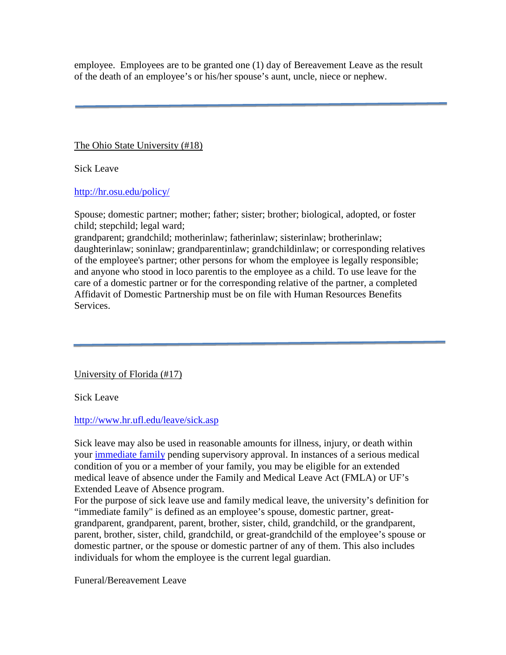employee. Employees are to be granted one (1) day of Bereavement Leave as the result of the death of an employee's or his/her spouse's aunt, uncle, niece or nephew.

The Ohio State University (#18)

Sick Leave

<http://hr.osu.edu/policy/>

Spouse; domestic partner; mother; father; sister; brother; biological, adopted, or foster child; stepchild; legal ward;

grandparent; grandchild; motherinlaw; fatherinlaw; sisterinlaw; brotherinlaw; daughterinlaw; soninlaw; grandparentinlaw; grandchildinlaw; or corresponding relatives of the employee's partner; other persons for whom the employee is legally responsible; and anyone who stood in loco parentis to the employee as a child. To use leave for the care of a domestic partner or for the corresponding relative of the partner, a completed Affidavit of Domestic Partnership must be on file with Human Resources Benefits Services.

University of Florida (#17)

Sick Leave

<http://www.hr.ufl.edu/leave/sick.asp>

Sick leave may also be used in reasonable amounts for illness, injury, or death within your [immediate family](http://www.hr.ufl.edu/leave/sick.asp%23family) pending supervisory approval. In instances of a serious medical condition of you or a member of your family, you may be eligible for an extended medical leave of absence under the Family and Medical Leave Act (FMLA) or UF's Extended Leave of Absence program.

For the purpose of sick leave use and family medical leave, the university's definition for "immediate family" is defined as an employee's spouse, domestic partner, greatgrandparent, grandparent, parent, brother, sister, child, grandchild, or the grandparent, parent, brother, sister, child, grandchild, or great-grandchild of the employee's spouse or domestic partner, or the spouse or domestic partner of any of them. This also includes individuals for whom the employee is the current legal guardian.

Funeral/Bereavement Leave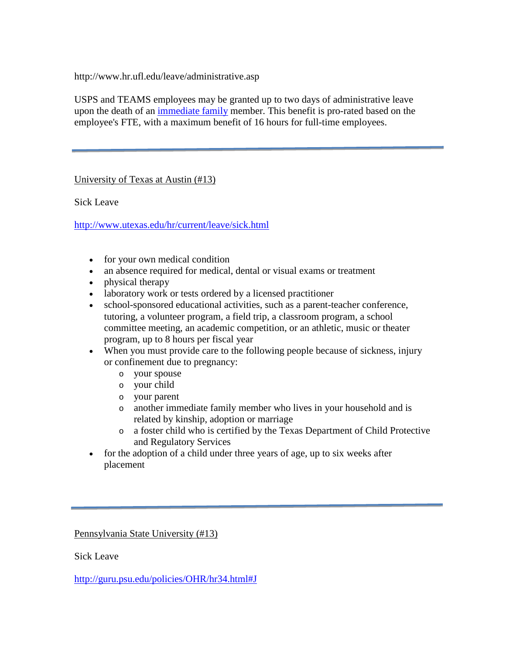http://www.hr.ufl.edu/leave/administrative.asp

USPS and TEAMS employees may be granted up to two days of administrative leave upon the death of an [immediate family](http://www.hr.ufl.edu/leave/forms/immediate_family_defs.pdf) member. This benefit is pro-rated based on the employee's FTE, with a maximum benefit of 16 hours for full-time employees.

University of Texas at Austin (#13)

Sick Leave

<http://www.utexas.edu/hr/current/leave/sick.html>

- for your own medical condition
- an absence required for medical, dental or visual exams or treatment
- physical therapy
- laboratory work or tests ordered by a licensed practitioner
- school-sponsored educational activities, such as a parent-teacher conference, tutoring, a volunteer program, a field trip, a classroom program, a school committee meeting, an academic competition, or an athletic, music or theater program, up to 8 hours per fiscal year
- When you must provide care to the following people because of sickness, injury or confinement due to pregnancy:
	- o your spouse
	- o your child
	- o your parent
	- o another immediate family member who lives in your household and is related by kinship, adoption or marriage
	- o a foster child who is certified by the Texas Department of Child Protective and Regulatory Services
- for the adoption of a child under three years of age, up to six weeks after placement

Pennsylvania State University (#13)

Sick Leave

[http://guru.psu.edu/policies/OHR/hr34.html#J](http://guru.psu.edu/policies/OHR/hr34.html%23J)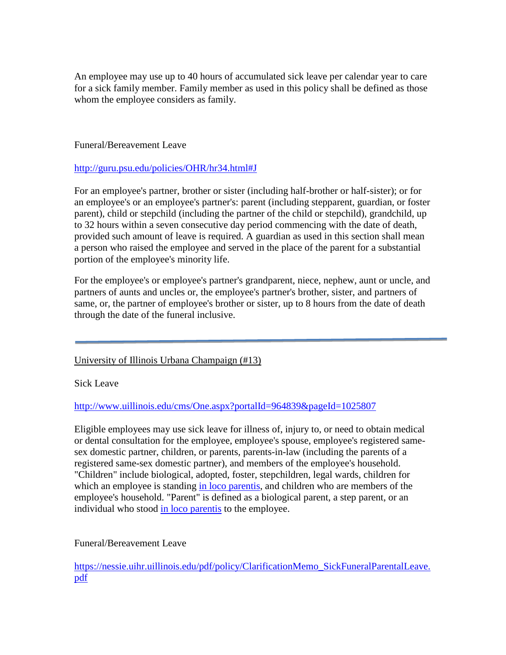An employee may use up to 40 hours of accumulated sick leave per calendar year to care for a sick family member. Family member as used in this policy shall be defined as those whom the employee considers as family.

Funeral/Bereavement Leave

[http://guru.psu.edu/policies/OHR/hr34.html#J](http://guru.psu.edu/policies/OHR/hr34.html%23J)

For an employee's partner, brother or sister (including half-brother or half-sister); or for an employee's or an employee's partner's: parent (including stepparent, guardian, or foster parent), child or stepchild (including the partner of the child or stepchild), grandchild, up to 32 hours within a seven consecutive day period commencing with the date of death, provided such amount of leave is required. A guardian as used in this section shall mean a person who raised the employee and served in the place of the parent for a substantial portion of the employee's minority life.

For the employee's or employee's partner's grandparent, niece, nephew, aunt or uncle, and partners of aunts and uncles or, the employee's partner's brother, sister, and partners of same, or, the partner of employee's brother or sister, up to 8 hours from the date of death through the date of the funeral inclusive.

## University of Illinois Urbana Champaign (#13)

Sick Leave

<http://www.uillinois.edu/cms/One.aspx?portalId=964839&pageId=1025807>

Eligible employees may use sick leave for illness of, injury to, or need to obtain medical or dental consultation for the employee, employee's spouse, employee's registered samesex domestic partner, children, or parents, parents-in-law (including the parents of a registered same-sex domestic partner), and members of the employee's household. "Children" include biological, adopted, foster, stepchildren, legal wards, children for which an employee is standing [in loco parentis,](http://www.uillinois.edu/cms/One.aspx?portalId=964839&pageId=1026423) and children who are members of the employee's household. "Parent" is defined as a biological parent, a step parent, or an individual who stood [in loco parentis](http://www.uillinois.edu/cms/One.aspx?portalId=964839&pageId=1026423) to the employee.

Funeral/Bereavement Leave

[https://nessie.uihr.uillinois.edu/pdf/policy/ClarificationMemo\\_SickFuneralParentalLeave.](https://nessie.uihr.uillinois.edu/pdf/policy/ClarificationMemo_SickFuneralParentalLeave.pdf) [pdf](https://nessie.uihr.uillinois.edu/pdf/policy/ClarificationMemo_SickFuneralParentalLeave.pdf)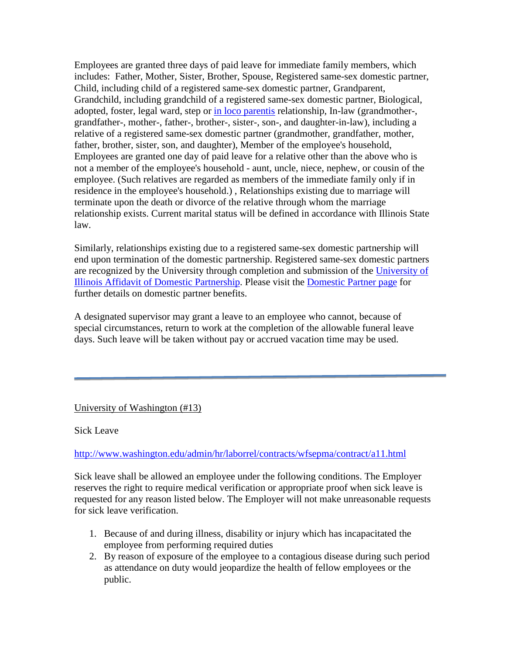Employees are granted three days of paid leave for immediate family members, which includes: Father, Mother, Sister, Brother, Spouse, Registered same-sex domestic partner, Child, including child of a registered same-sex domestic partner, Grandparent, Grandchild, including grandchild of a registered same-sex domestic partner, Biological, adopted, foster, legal ward, step or [in loco parentis](https://nessie.uihr.uillinois.edu/cf/index.cfm?Item_id=1293&rlink=1304) relationship, In-law (grandmother-, grandfather-, mother-, father-, brother-, sister-, son-, and daughter-in-law), including a relative of a registered same-sex domestic partner (grandmother, grandfather, mother, father, brother, sister, son, and daughter), Member of the employee's household, Employees are granted one day of paid leave for a relative other than the above who is not a member of the employee's household - aunt, uncle, niece, nephew, or cousin of the employee. (Such relatives are regarded as members of the immediate family only if in residence in the employee's household.) , Relationships existing due to marriage will terminate upon the death or divorce of the relative through whom the marriage relationship exists. Current marital status will be defined in accordance with Illinois State law.

Similarly, relationships existing due to a registered same-sex domestic partnership will end upon termination of the domestic partnership. Registered same-sex domestic partners are recognized by the University through completion and submission of the [University of](https://nessie.uihr.uillinois.edu/pdf/benefits/DPAffidavit.pdf)  [Illinois Affidavit of Domestic Partnership.](https://nessie.uihr.uillinois.edu/pdf/benefits/DPAffidavit.pdf) Please visit the [Domestic Partner page](https://nessie.uihr.uillinois.edu/cf/index.cfm?Item_ID=3754) for further details on domestic partner benefits.

A designated supervisor may grant a leave to an employee who cannot, because of special circumstances, return to work at the completion of the allowable funeral leave days. Such leave will be taken without pay or accrued vacation time may be used.

University of Washington (#13)

Sick Leave

<http://www.washington.edu/admin/hr/laborrel/contracts/wfsepma/contract/a11.html>

Sick leave shall be allowed an employee under the following conditions. The Employer reserves the right to require medical verification or appropriate proof when sick leave is requested for any reason listed below. The Employer will not make unreasonable requests for sick leave verification.

- 1. Because of and during illness, disability or injury which has incapacitated the employee from performing required duties
- 2. By reason of exposure of the employee to a contagious disease during such period as attendance on duty would jeopardize the health of fellow employees or the public.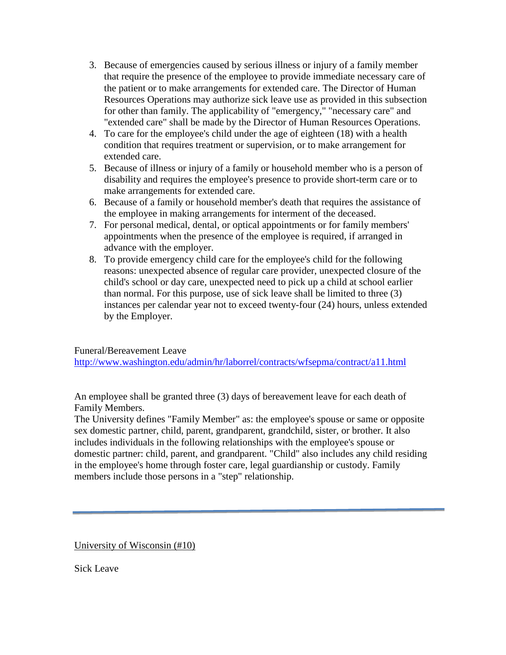- 3. Because of emergencies caused by serious illness or injury of a family member that require the presence of the employee to provide immediate necessary care of the patient or to make arrangements for extended care. The Director of Human Resources Operations may authorize sick leave use as provided in this subsection for other than family. The applicability of "emergency," "necessary care" and "extended care" shall be made by the Director of Human Resources Operations.
- 4. To care for the employee's child under the age of eighteen (18) with a health condition that requires treatment or supervision, or to make arrangement for extended care.
- 5. Because of illness or injury of a family or household member who is a person of disability and requires the employee's presence to provide short-term care or to make arrangements for extended care.
- 6. Because of a family or household member's death that requires the assistance of the employee in making arrangements for interment of the deceased.
- 7. For personal medical, dental, or optical appointments or for family members' appointments when the presence of the employee is required, if arranged in advance with the employer.
- 8. To provide emergency child care for the employee's child for the following reasons: unexpected absence of regular care provider, unexpected closure of the child's school or day care, unexpected need to pick up a child at school earlier than normal. For this purpose, use of sick leave shall be limited to three (3) instances per calendar year not to exceed twenty-four (24) hours, unless extended by the Employer.

## Funeral/Bereavement Leave

<http://www.washington.edu/admin/hr/laborrel/contracts/wfsepma/contract/a11.html>

An employee shall be granted three (3) days of bereavement leave for each death of Family Members.

The University defines "Family Member" as: the employee's spouse or same or opposite sex domestic partner, child, parent, grandparent, grandchild, sister, or brother. It also includes individuals in the following relationships with the employee's spouse or domestic partner: child, parent, and grandparent. "Child" also includes any child residing in the employee's home through foster care, legal guardianship or custody. Family members include those persons in a "step" relationship.

University of Wisconsin (#10)

Sick Leave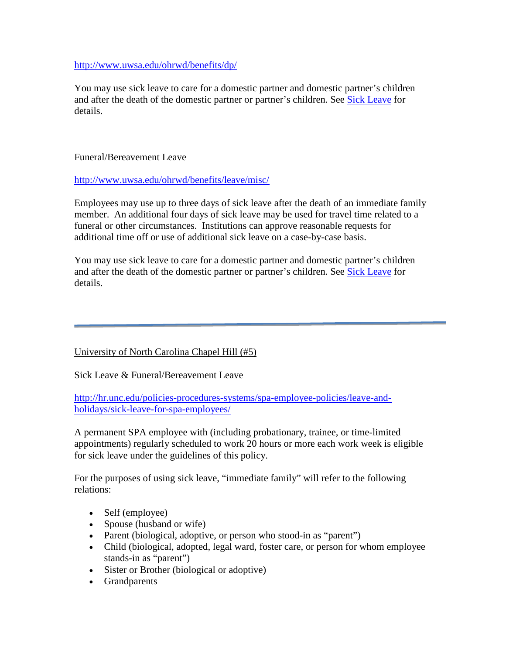<http://www.uwsa.edu/ohrwd/benefits/dp/>

You may use sick leave to care for a domestic partner and domestic partner's children and after the death of the domestic partner or partner's children. See [Sick Leave](http://www.uwsa.edu/ohrwd/benefits/leave/sick/) for details.

### Funeral/Bereavement Leave

<http://www.uwsa.edu/ohrwd/benefits/leave/misc/>

Employees may use up to three days of sick leave after the death of an immediate family member. An additional four days of sick leave may be used for travel time related to a funeral or other circumstances. Institutions can approve reasonable requests for additional time off or use of additional sick leave on a case-by-case basis.

You may use sick leave to care for a domestic partner and domestic partner's children and after the death of the domestic partner or partner's children. See [Sick Leave](http://www.uwsa.edu/ohrwd/benefits/leave/sick/) for details.

## University of North Carolina Chapel Hill (#5)

Sick Leave & Funeral/Bereavement Leave

[http://hr.unc.edu/policies-procedures-systems/spa-employee-policies/leave-and](http://hr.unc.edu/policies-procedures-systems/spa-employee-policies/leave-and-holidays/sick-leave-for-spa-employees/)[holidays/sick-leave-for-spa-employees/](http://hr.unc.edu/policies-procedures-systems/spa-employee-policies/leave-and-holidays/sick-leave-for-spa-employees/)

A permanent SPA employee with (including probationary, trainee, or time-limited appointments) regularly scheduled to work 20 hours or more each work week is eligible for sick leave under the guidelines of this policy.

For the purposes of using sick leave, "immediate family" will refer to the following relations:

- Self (employee)
- Spouse (husband or wife)
- Parent (biological, adoptive, or person who stood-in as "parent")
- Child (biological, adopted, legal ward, foster care, or person for whom employee stands-in as "parent")
- Sister or Brother (biological or adoptive)
- Grandparents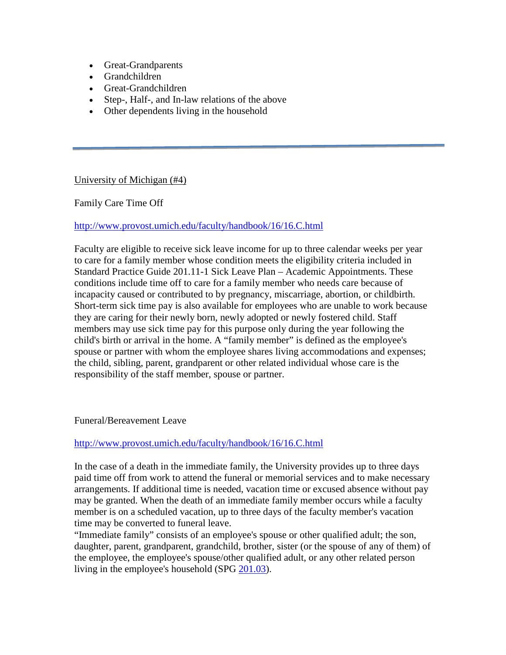- Great-Grandparents
- Grandchildren
- Great-Grandchildren
- Step-, Half-, and In-law relations of the above
- Other dependents living in the household

University of Michigan (#4)

Family Care Time Off

#### <http://www.provost.umich.edu/faculty/handbook/16/16.C.html>

Faculty are eligible to receive sick leave income for up to three calendar weeks per year to care for a family member whose condition meets the eligibility criteria included in Standard Practice Guide 201.11-1 Sick Leave Plan – Academic Appointments. These conditions include time off to care for a family member who needs care because of incapacity caused or contributed to by pregnancy, miscarriage, abortion, or childbirth. Short-term sick time pay is also available for employees who are unable to work because they are caring for their newly born, newly adopted or newly fostered child. Staff members may use sick time pay for this purpose only during the year following the child's birth or arrival in the home. A "family member" is defined as the employee's spouse or partner with whom the employee shares living accommodations and expenses; the child, sibling, parent, grandparent or other related individual whose care is the responsibility of the staff member, spouse or partner.

#### Funeral/Bereavement Leave

#### <http://www.provost.umich.edu/faculty/handbook/16/16.C.html>

In the case of a death in the immediate family, the University provides up to three days paid time off from work to attend the funeral or memorial services and to make necessary arrangements. If additional time is needed, vacation time or excused absence without pay may be granted. When the death of an immediate family member occurs while a faculty member is on a scheduled vacation, up to three days of the faculty member's vacation time may be converted to funeral leave.

"Immediate family" consists of an employee's spouse or other qualified adult; the son, daughter, parent, grandparent, grandchild, brother, sister (or the spouse of any of them) of the employee, the employee's spouse/other qualified adult, or any other related person living in the employee's household (SPG [201.03\)](http://spg.umich.edu/policy/201.03).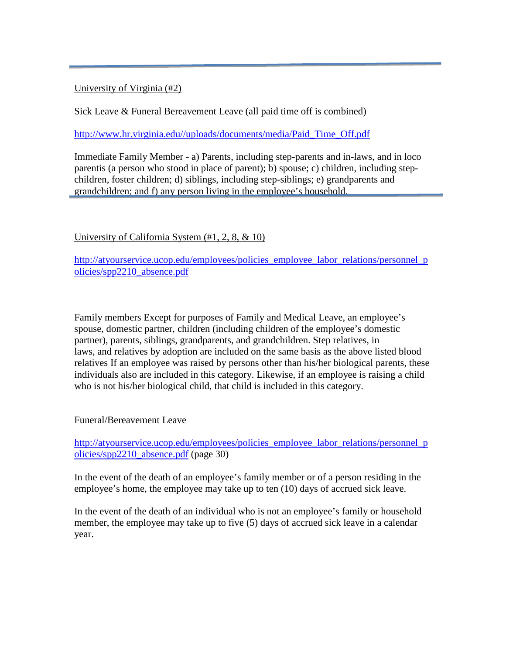## University of Virginia (#2)

Sick Leave & Funeral Bereavement Leave (all paid time off is combined)

[http://www.hr.virginia.edu//uploads/documents/media/Paid\\_Time\\_Off.pdf](http://www.hr.virginia.edu/uploads/documents/media/Paid_Time_Off.pdf)

Immediate Family Member - a) Parents, including step-parents and in-laws, and in loco parentis (a person who stood in place of parent); b) spouse; c) children, including stepchildren, foster children; d) siblings, including step-siblings; e) grandparents and grandchildren; and f) any person living in the employee's household.

## University of California System (#1, 2, 8, & 10)

[http://atyourservice.ucop.edu/employees/policies\\_employee\\_labor\\_relations/personnel\\_p](http://atyourservice.ucop.edu/employees/policies_employee_labor_relations/personnel_policies/spp2210_absence.pdf) [olicies/spp2210\\_absence.pdf](http://atyourservice.ucop.edu/employees/policies_employee_labor_relations/personnel_policies/spp2210_absence.pdf)

Family members Except for purposes of Family and Medical Leave, an employee's spouse, domestic partner, children (including children of the employee's domestic partner), parents, siblings, grandparents, and grandchildren. Step relatives, in laws, and relatives by adoption are included on the same basis as the above listed blood relatives If an employee was raised by persons other than his/her biological parents, these individuals also are included in this category. Likewise, if an employee is raising a child who is not his/her biological child, that child is included in this category.

Funeral/Bereavement Leave

[http://atyourservice.ucop.edu/employees/policies\\_employee\\_labor\\_relations/personnel\\_p](http://atyourservice.ucop.edu/employees/policies_employee_labor_relations/personnel_policies/spp2210_absence.pdf) [olicies/spp2210\\_absence.pdf](http://atyourservice.ucop.edu/employees/policies_employee_labor_relations/personnel_policies/spp2210_absence.pdf) (page 30)

In the event of the death of an employee's family member or of a person residing in the employee's home, the employee may take up to ten (10) days of accrued sick leave.

In the event of the death of an individual who is not an employee's family or household member, the employee may take up to five (5) days of accrued sick leave in a calendar year.